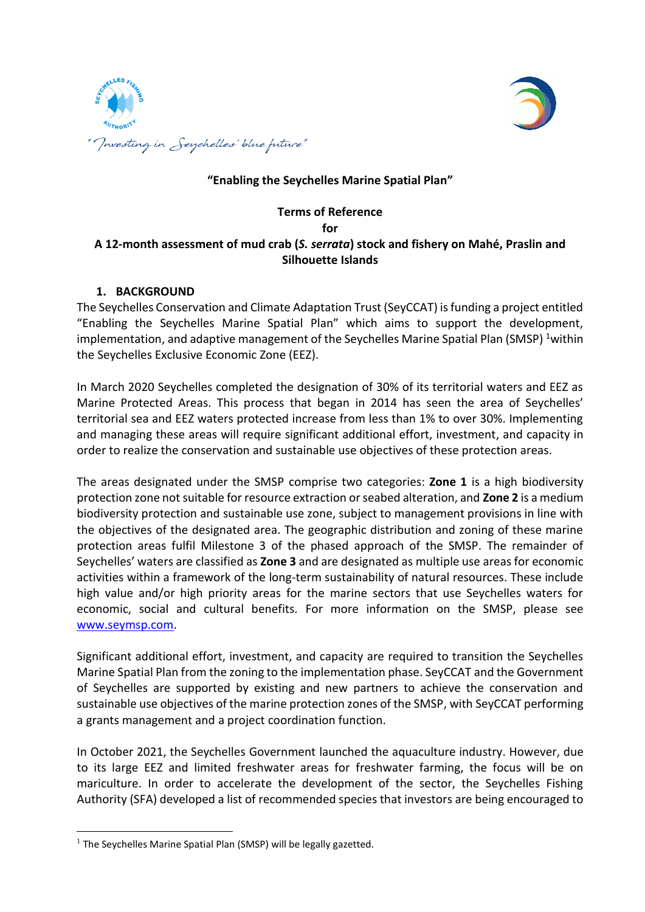



# **"Enabling the Seychelles Marine Spatial Plan"**

### **Terms of Reference for A 12-month assessment of mud crab (***S. serrata***) stock and fishery on Mahé, Praslin and Silhouette Islands**

#### **1. BACKGROUND**

The Seychelles Conservation and Climate Adaptation Trust (SeyCCAT) is funding a project entitled "Enabling the Seychelles Marine Spatial Plan" which aims to support the development, implementation, and adaptive management of the Seychelles Marine Spatial Plan (SMSP) <sup>1</sup>within the Seychelles Exclusive Economic Zone (EEZ).

In March 2020 Seychelles completed the designation of 30% of its territorial waters and EEZ as Marine Protected Areas. This process that began in 2014 has seen the area of Seychelles' territorial sea and EEZ waters protected increase from less than 1% to over 30%. Implementing and managing these areas will require significant additional effort, investment, and capacity in order to realize the conservation and sustainable use objectives of these protection areas.

The areas designated under the SMSP comprise two categories: **Zone 1** is a high biodiversity protection zone not suitable for resource extraction or seabed alteration, and **Zone 2** is a medium biodiversity protection and sustainable use zone, subject to management provisions in line with the objectives of the designated area. The geographic distribution and zoning of these marine protection areas fulfil Milestone 3 of the phased approach of the SMSP. The remainder of Seychelles' waters are classified as **Zone 3** and are designated as multiple use areasfor economic activities within a framework of the long-term sustainability of natural resources. These include high value and/or high priority areas for the marine sectors that use Seychelles waters for economic, social and cultural benefits. For more information on the SMSP, please see [www.seymsp.com.](http://www.seymsp.com/)

Significant additional effort, investment, and capacity are required to transition the Seychelles Marine Spatial Plan from the zoning to the implementation phase. SeyCCAT and the Government of Seychelles are supported by existing and new partners to achieve the conservation and sustainable use objectives of the marine protection zones of the SMSP, with SeyCCAT performing a grants management and a project coordination function.

In October 2021, the Seychelles Government launched the aquaculture industry. However, due to its large EEZ and limited freshwater areas for freshwater farming, the focus will be on mariculture. In order to accelerate the development of the sector, the Seychelles Fishing Authority (SFA) developed a list of recommended species that investors are being encouraged to

 $\overline{\phantom{a}}$ 

 $<sup>1</sup>$  The Seychelles Marine Spatial Plan (SMSP) will be legally gazetted.</sup>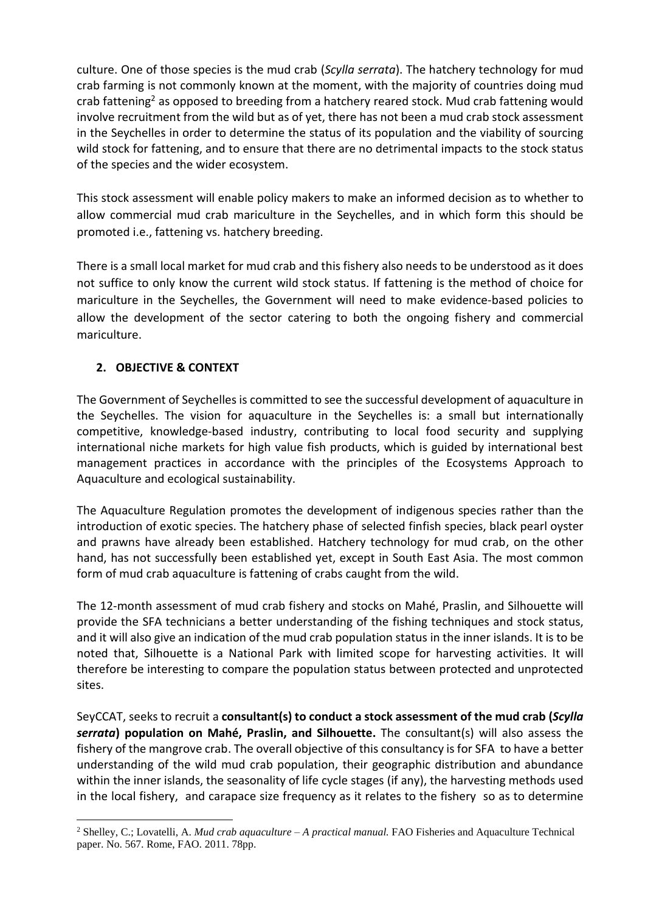culture. One of those species is the mud crab (*Scylla serrata*). The hatchery technology for mud crab farming is not commonly known at the moment, with the majority of countries doing mud crab fattening<sup>2</sup> as opposed to breeding from a hatchery reared stock. Mud crab fattening would involve recruitment from the wild but as of yet, there has not been a mud crab stock assessment in the Seychelles in order to determine the status of its population and the viability of sourcing wild stock for fattening, and to ensure that there are no detrimental impacts to the stock status of the species and the wider ecosystem.

This stock assessment will enable policy makers to make an informed decision as to whether to allow commercial mud crab mariculture in the Seychelles, and in which form this should be promoted i.e., fattening vs. hatchery breeding.

There is a small local market for mud crab and this fishery also needs to be understood as it does not suffice to only know the current wild stock status. If fattening is the method of choice for mariculture in the Seychelles, the Government will need to make evidence-based policies to allow the development of the sector catering to both the ongoing fishery and commercial mariculture.

# **2. OBJECTIVE & CONTEXT**

 $\overline{a}$ 

The Government of Seychelles is committed to see the successful development of aquaculture in the Seychelles. The vision for aquaculture in the Seychelles is: a small but internationally competitive, knowledge-based industry, contributing to local food security and supplying international niche markets for high value fish products, which is guided by international best management practices in accordance with the principles of the Ecosystems Approach to Aquaculture and ecological sustainability.

The Aquaculture Regulation promotes the development of indigenous species rather than the introduction of exotic species. The hatchery phase of selected finfish species, black pearl oyster and prawns have already been established. Hatchery technology for mud crab, on the other hand, has not successfully been established yet, except in South East Asia. The most common form of mud crab aquaculture is fattening of crabs caught from the wild.

The 12-month assessment of mud crab fishery and stocks on Mahé, Praslin, and Silhouette will provide the SFA technicians a better understanding of the fishing techniques and stock status, and it will also give an indication of the mud crab population status in the inner islands. It is to be noted that, Silhouette is a National Park with limited scope for harvesting activities. It will therefore be interesting to compare the population status between protected and unprotected sites.

SeyCCAT, seeks to recruit a **consultant(s) to conduct a stock assessment of the mud crab (***Scylla serrata***) population on Mahé, Praslin, and Silhouette.** The consultant(s) will also assess the fishery of the mangrove crab. The overall objective of this consultancy is for SFA to have a better understanding of the wild mud crab population, their geographic distribution and abundance within the inner islands, the seasonality of life cycle stages (if any), the harvesting methods used in the local fishery, and carapace size frequency as it relates to the fishery so as to determine

<sup>2</sup> Shelley, C.; Lovatelli, A. *Mud crab aquaculture – A practical manual.* FAO Fisheries and Aquaculture Technical paper. No. 567. Rome, FAO. 2011. 78pp.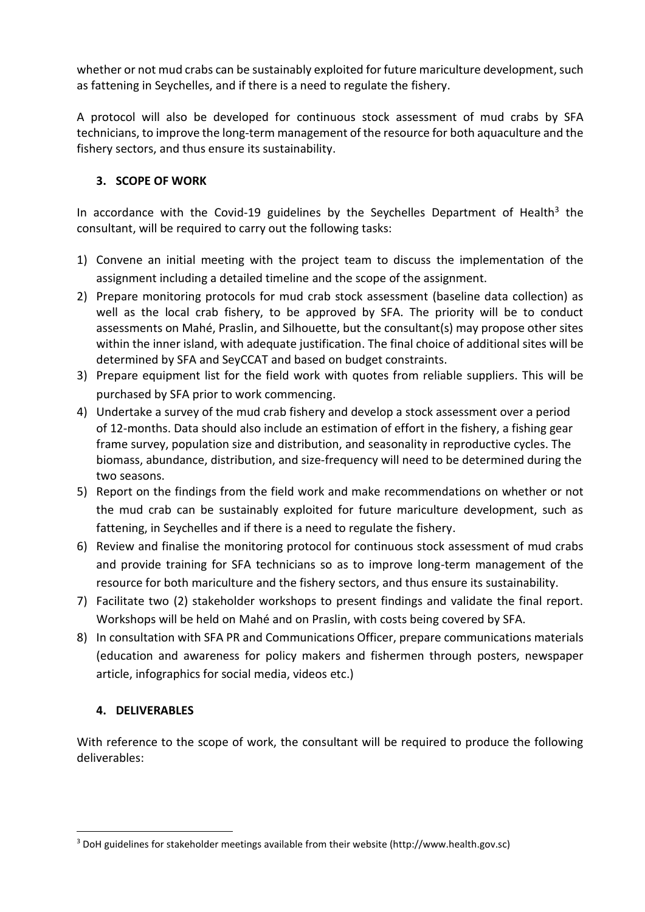whether or not mud crabs can be sustainably exploited for future mariculture development, such as fattening in Seychelles, and if there is a need to regulate the fishery.

A protocol will also be developed for continuous stock assessment of mud crabs by SFA technicians, to improve the long-term management of the resource for both aquaculture and the fishery sectors, and thus ensure its sustainability.

### **3. SCOPE OF WORK**

In accordance with the Covid-19 guidelines by the Seychelles Department of Health<sup>3</sup> the consultant, will be required to carry out the following tasks:

- 1) Convene an initial meeting with the project team to discuss the implementation of the assignment including a detailed timeline and the scope of the assignment.
- 2) Prepare monitoring protocols for mud crab stock assessment (baseline data collection) as well as the local crab fishery, to be approved by SFA. The priority will be to conduct assessments on Mahé, Praslin, and Silhouette, but the consultant(s) may propose other sites within the inner island, with adequate justification. The final choice of additional sites will be determined by SFA and SeyCCAT and based on budget constraints.
- 3) Prepare equipment list for the field work with quotes from reliable suppliers. This will be purchased by SFA prior to work commencing.
- 4) Undertake a survey of the mud crab fishery and develop a stock assessment over a period of 12-months. Data should also include an estimation of effort in the fishery, a fishing gear frame survey, population size and distribution, and seasonality in reproductive cycles. The biomass, abundance, distribution, and size-frequency will need to be determined during the two seasons.
- 5) Report on the findings from the field work and make recommendations on whether or not the mud crab can be sustainably exploited for future mariculture development, such as fattening, in Seychelles and if there is a need to regulate the fishery.
- 6) Review and finalise the monitoring protocol for continuous stock assessment of mud crabs and provide training for SFA technicians so as to improve long-term management of the resource for both mariculture and the fishery sectors, and thus ensure its sustainability.
- 7) Facilitate two (2) stakeholder workshops to present findings and validate the final report. Workshops will be held on Mahé and on Praslin, with costs being covered by SFA.
- 8) In consultation with SFA PR and Communications Officer, prepare communications materials (education and awareness for policy makers and fishermen through posters, newspaper article, infographics for social media, videos etc.)

### **4. DELIVERABLES**

 $\overline{\phantom{a}}$ 

With reference to the scope of work, the consultant will be required to produce the following deliverables:

<sup>3</sup> DoH guidelines for stakeholder meetings available from their website (http://www.health.gov.sc)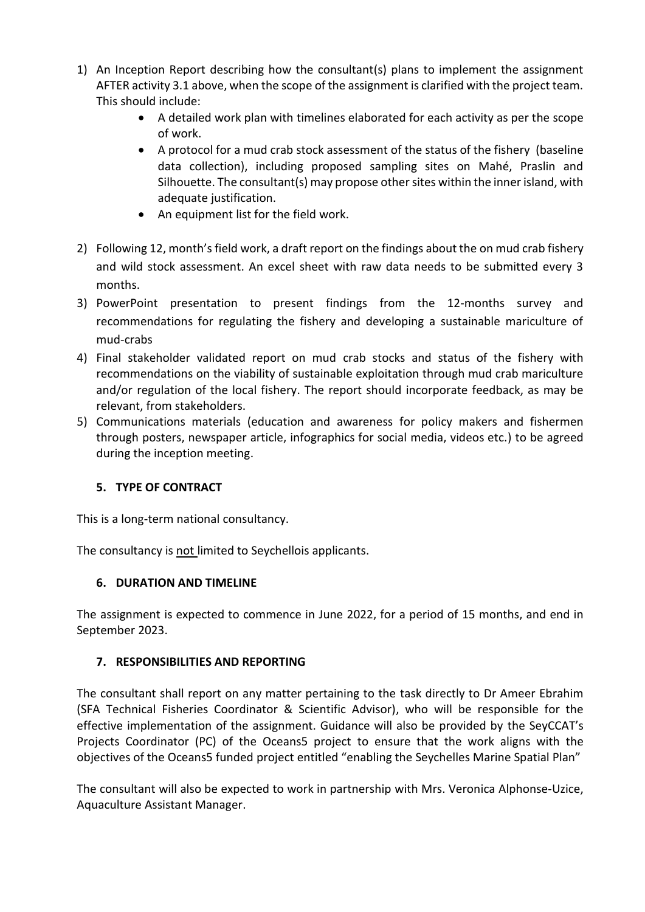- 1) An Inception Report describing how the consultant(s) plans to implement the assignment AFTER activity 3.1 above, when the scope of the assignment is clarified with the project team. This should include:
	- A detailed work plan with timelines elaborated for each activity as per the scope of work.
	- A protocol for a mud crab stock assessment of the status of the fishery (baseline data collection), including proposed sampling sites on Mahé, Praslin and Silhouette. The consultant(s) may propose other sites within the inner island, with adequate justification.
	- An equipment list for the field work.
- 2) Following 12, month'sfield work, a draft report on the findings about the on mud crab fishery and wild stock assessment. An excel sheet with raw data needs to be submitted every 3 months.
- 3) PowerPoint presentation to present findings from the 12-months survey and recommendations for regulating the fishery and developing a sustainable mariculture of mud-crabs
- 4) Final stakeholder validated report on mud crab stocks and status of the fishery with recommendations on the viability of sustainable exploitation through mud crab mariculture and/or regulation of the local fishery. The report should incorporate feedback, as may be relevant, from stakeholders.
- 5) Communications materials (education and awareness for policy makers and fishermen through posters, newspaper article, infographics for social media, videos etc.) to be agreed during the inception meeting.

# **5. TYPE OF CONTRACT**

This is a long-term national consultancy.

The consultancy is not limited to Seychellois applicants.

# **6. DURATION AND TIMELINE**

The assignment is expected to commence in June 2022, for a period of 15 months, and end in September 2023.

# **7. RESPONSIBILITIES AND REPORTING**

The consultant shall report on any matter pertaining to the task directly to Dr Ameer Ebrahim (SFA Technical Fisheries Coordinator & Scientific Advisor), who will be responsible for the effective implementation of the assignment. Guidance will also be provided by the SeyCCAT's Projects Coordinator (PC) of the Oceans5 project to ensure that the work aligns with the objectives of the Oceans5 funded project entitled "enabling the Seychelles Marine Spatial Plan"

The consultant will also be expected to work in partnership with Mrs. Veronica Alphonse-Uzice, Aquaculture Assistant Manager.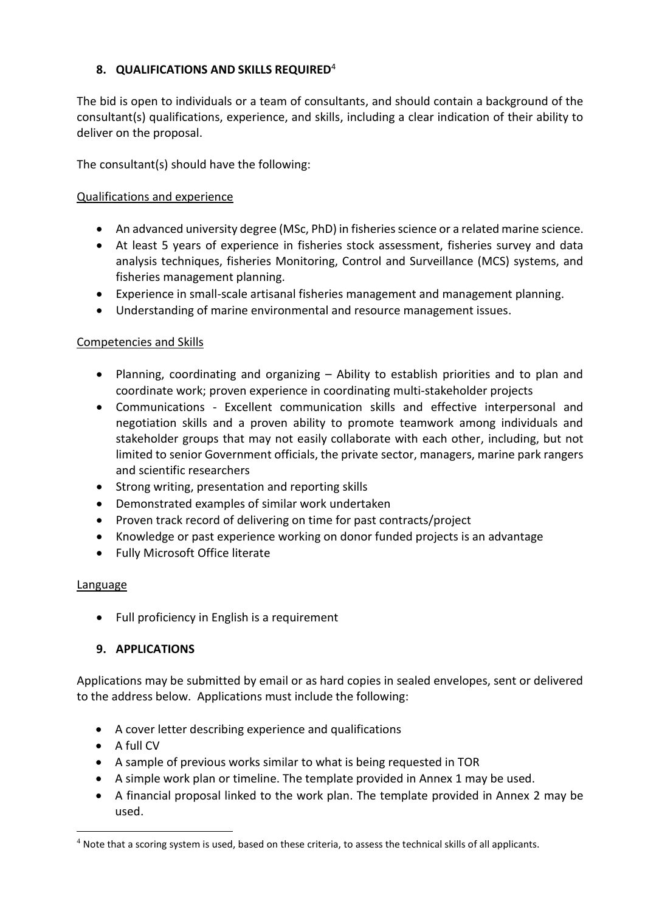### **8. QUALIFICATIONS AND SKILLS REQUIRED**<sup>4</sup>

The bid is open to individuals or a team of consultants, and should contain a background of the consultant(s) qualifications, experience, and skills, including a clear indication of their ability to deliver on the proposal.

The consultant(s) should have the following:

### Qualifications and experience

- An advanced university degree (MSc, PhD) in fisheries science or a related marine science.
- At least 5 years of experience in fisheries stock assessment, fisheries survey and data analysis techniques, fisheries Monitoring, Control and Surveillance (MCS) systems, and fisheries management planning.
- Experience in small-scale artisanal fisheries management and management planning.
- Understanding of marine environmental and resource management issues.

### Competencies and Skills

- Planning, coordinating and organizing Ability to establish priorities and to plan and coordinate work; proven experience in coordinating multi-stakeholder projects
- Communications Excellent communication skills and effective interpersonal and negotiation skills and a proven ability to promote teamwork among individuals and stakeholder groups that may not easily collaborate with each other, including, but not limited to senior Government officials, the private sector, managers, marine park rangers and scientific researchers
- Strong writing, presentation and reporting skills
- Demonstrated examples of similar work undertaken
- Proven track record of delivering on time for past contracts/project
- Knowledge or past experience working on donor funded projects is an advantage
- Fully Microsoft Office literate

### **Language**

• Full proficiency in English is a requirement

### **9. APPLICATIONS**

Applications may be submitted by email or as hard copies in sealed envelopes, sent or delivered to the address below. Applications must include the following:

- A cover letter describing experience and qualifications
- $\bullet$  A full CV

 $\overline{\phantom{a}}$ 

- A sample of previous works similar to what is being requested in TOR
- A simple work plan or timeline. The template provided in Annex 1 may be used.
- A financial proposal linked to the work plan. The template provided in Annex 2 may be used.

<sup>&</sup>lt;sup>4</sup> Note that a scoring system is used, based on these criteria, to assess the technical skills of all applicants.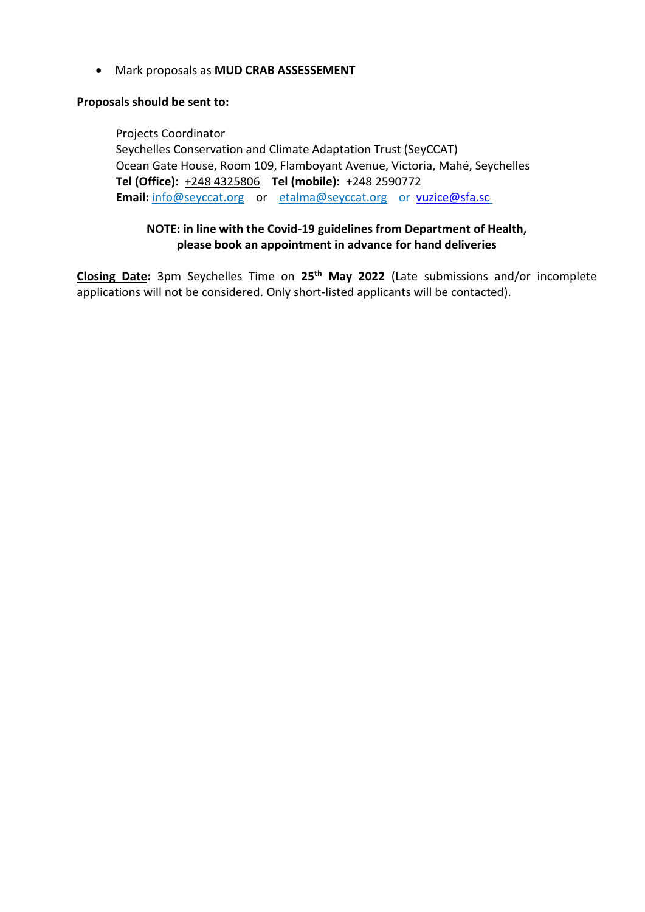Mark proposals as **MUD CRAB ASSESSEMENT**

#### **Proposals should be sent to:**

Projects Coordinator

Seychelles Conservation and Climate Adaptation Trust (SeyCCAT) Ocean Gate House, Room 109, Flamboyant Avenue, Victoria, Mahé, Seychelles **Tel (Office):** [+248 4325806](mailto:+248%204325806) **Tel (mobile):** [+248 25](mailto:+248%202526598)90772 **Email:** [info@seyccat.org](mailto:info@seyccat.org) or [etalma@seyccat.org](mailto:etalma@seyccat.org) or [vuzice@sfa.sc](mailto:vuzice@sfa.sc)

### **NOTE: in line with the Covid-19 guidelines from Department of Health, please book an appointment in advance for hand deliveries**

**Closing Date:** 3pm Seychelles Time on **25th May 2022** (Late submissions and/or incomplete applications will not be considered. Only short-listed applicants will be contacted).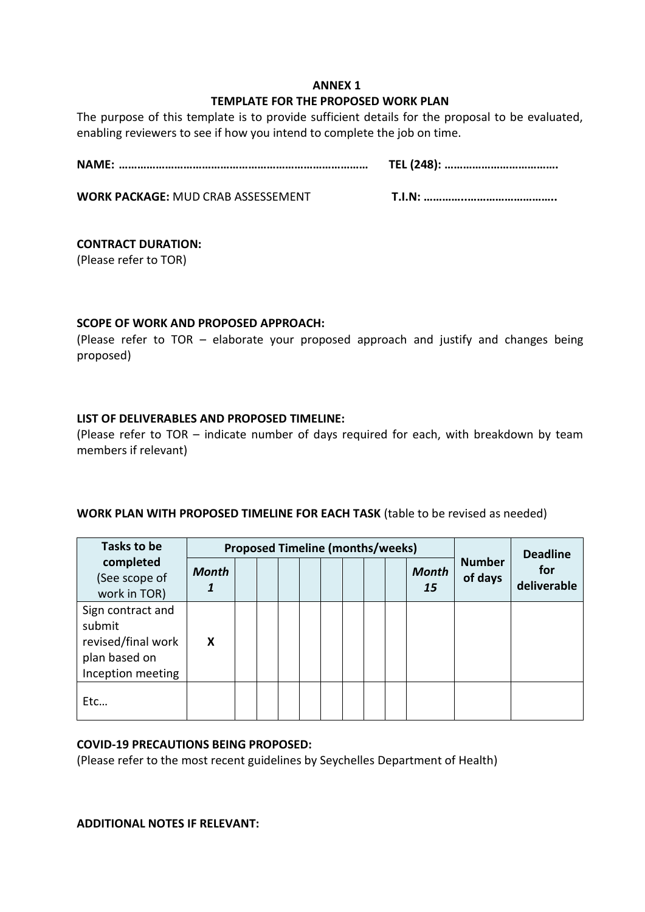### **ANNEX 1 TEMPLATE FOR THE PROPOSED WORK PLAN**

The purpose of this template is to provide sufficient details for the proposal to be evaluated, enabling reviewers to see if how you intend to complete the job on time.

**NAME: ……………………………………………………………………… TEL (248): ……………………………….** 

**WORK PACKAGE:** MUD CRAB ASSESSEMENT **T.I.N: …………..………………………..**

### **CONTRACT DURATION:**

(Please refer to TOR)

### **SCOPE OF WORK AND PROPOSED APPROACH:**

(Please refer to TOR – elaborate your proposed approach and justify and changes being proposed)

### **LIST OF DELIVERABLES AND PROPOSED TIMELINE:**

(Please refer to TOR – indicate number of days required for each, with breakdown by team members if relevant)

### **WORK PLAN WITH PROPOSED TIMELINE FOR EACH TASK** (table to be revised as needed)

| Tasks to be                                                                             |              | <b>Proposed Timeline (months/weeks)</b> |  |  | <b>Deadline</b> |  |                    |                          |                    |
|-----------------------------------------------------------------------------------------|--------------|-----------------------------------------|--|--|-----------------|--|--------------------|--------------------------|--------------------|
| completed<br>(See scope of<br>work in TOR)                                              | <b>Month</b> |                                         |  |  |                 |  | <b>Month</b><br>15 | <b>Number</b><br>of days | for<br>deliverable |
| Sign contract and<br>submit<br>revised/final work<br>plan based on<br>Inception meeting | X            |                                         |  |  |                 |  |                    |                          |                    |
| Etc                                                                                     |              |                                         |  |  |                 |  |                    |                          |                    |

### **COVID-19 PRECAUTIONS BEING PROPOSED:**

(Please refer to the most recent guidelines by Seychelles Department of Health)

### **ADDITIONAL NOTES IF RELEVANT:**